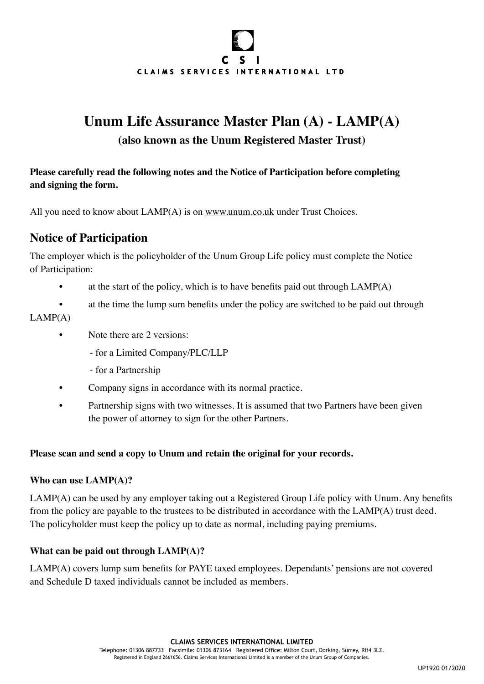# $\mathbf{C}$ S. CLAIMS SERVICES INTERNATIONAL LTD

# **Unum Life Assurance Master Plan (A) - LAMP(A)**

#### **(also known as the Unum Registered Master Trust)**

**Please carefully read the following notes and the Notice of Participation before completing and signing the form.**

All you need to know about LAMP(A) is on [www.unum.co.uk](https://www.unum.co.uk) under Trust Choices.

### **Notice of Participation**

The employer which is the policyholder of the Unum Group Life policy must complete the Notice of Participation:

- at the start of the policy, which is to have benefits paid out through  $LAMP(A)$
- at the time the lump sum benefits under the policy are switched to be paid out through  $LAMP(A)$

#### • Note there are 2 versions:

- for a Limited Company/PLC/LLP
- for a Partnership
- Company signs in accordance with its normal practice.
- Partnership signs with two witnesses. It is assumed that two Partners have been given the power of attorney to sign for the other Partners.

#### **Please scan and send a copy to Unum and retain the original for your records.**

#### **Who can use LAMP(A)?**

LAMP(A) can be used by any employer taking out a Registered Group Life policy with Unum. Any benefits from the policy are payable to the trustees to be distributed in accordance with the LAMP(A) trust deed. The policyholder must keep the policy up to date as normal, including paying premiums.

#### **What can be paid out through LAMP(A)?**

LAMP(A) covers lump sum benefits for PAYE taxed employees. Dependants' pensions are not covered and Schedule D taxed individuals cannot be included as members.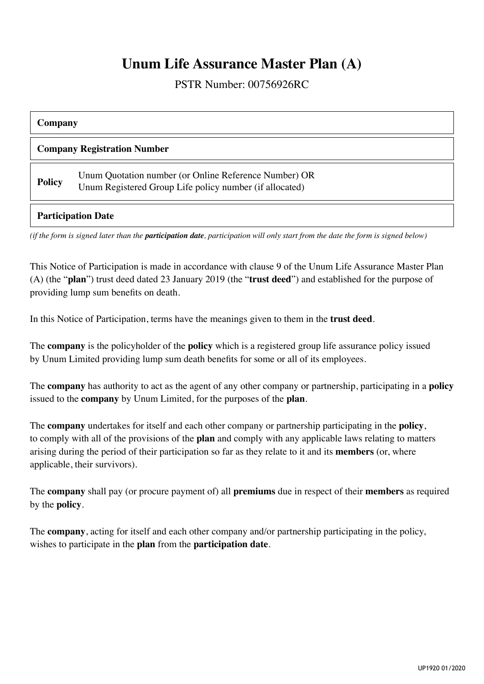### **Unum Life Assurance Master Plan (A)**

PSTR Number: 00756926RC

| Company                            |                                                                                                                  |  |
|------------------------------------|------------------------------------------------------------------------------------------------------------------|--|
| <b>Company Registration Number</b> |                                                                                                                  |  |
| <b>Policy</b>                      | Unum Quotation number (or Online Reference Number) OR<br>Unum Registered Group Life policy number (if allocated) |  |

#### **Participation Date**

*(if the form is signed later than the participation date, participation will only start from the date the form is signed below)*

This Notice of Participation is made in accordance with clause 9 of the Unum Life Assurance Master Plan (A) (the "**plan**") trust deed dated 23 January 2019 (the "**trust deed**") and established for the purpose of providing lump sum benefits on death.

In this Notice of Participation, terms have the meanings given to them in the **trust deed**.

The **company** is the policyholder of the **policy** which is a registered group life assurance policy issued by Unum Limited providing lump sum death benefits for some or all of its employees.

The **company** has authority to act as the agent of any other company or partnership, participating in a **policy** issued to the **company** by Unum Limited, for the purposes of the **plan**.

The **company** undertakes for itself and each other company or partnership participating in the **policy**, to comply with all of the provisions of the **plan** and comply with any applicable laws relating to matters arising during the period of their participation so far as they relate to it and its **members** (or, where applicable, their survivors).

The **company** shall pay (or procure payment of) all **premiums** due in respect of their **members** as required by the **policy**.

The **company**, acting for itself and each other company and/or partnership participating in the policy, wishes to participate in the **plan** from the **participation date**.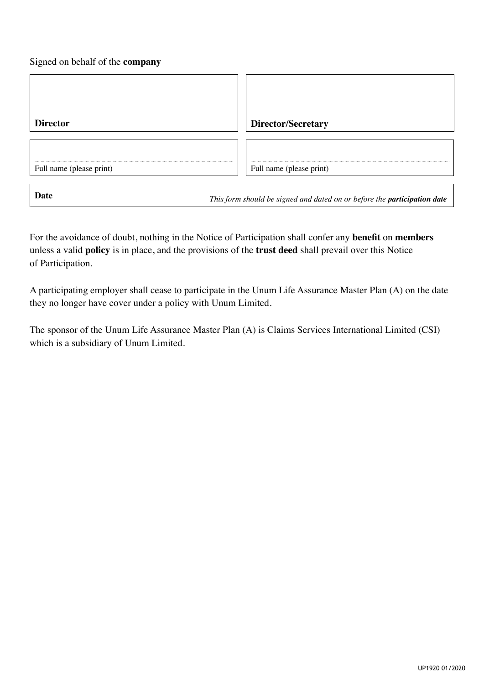#### Signed on behalf of the **company**

| <b>Director</b>          | <b>Director/Secretary</b> |
|--------------------------|---------------------------|
|                          |                           |
| Full name (please print) | Full name (please print)  |
|                          |                           |

**Date** *This form should be signed and dated on or before the participation date* 

For the avoidance of doubt, nothing in the Notice of Participation shall confer any **benefit** on **members** unless a valid **policy** is in place, and the provisions of the **trust deed** shall prevail over this Notice of Participation.

A participating employer shall cease to participate in the Unum Life Assurance Master Plan (A) on the date they no longer have cover under a policy with Unum Limited.

The sponsor of the Unum Life Assurance Master Plan (A) is Claims Services International Limited (CSI) which is a subsidiary of Unum Limited.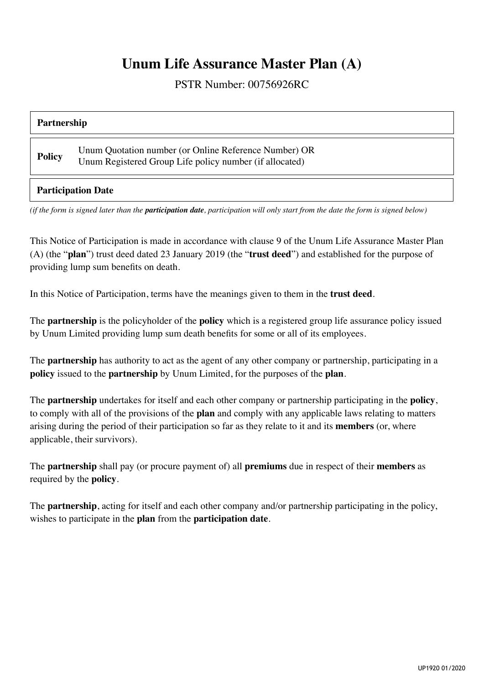## **Unum Life Assurance Master Plan (A)**

PSTR Number: 00756926RC

| Partnership               |                                                                                                                  |  |
|---------------------------|------------------------------------------------------------------------------------------------------------------|--|
| <b>Policy</b>             | Unum Quotation number (or Online Reference Number) OR<br>Unum Registered Group Life policy number (if allocated) |  |
| <b>Participation Date</b> |                                                                                                                  |  |

*(if the form is signed later than the participation date, participation will only start from the date the form is signed below)*

This Notice of Participation is made in accordance with clause 9 of the Unum Life Assurance Master Plan (A) (the "**plan**") trust deed dated 23 January 2019 (the "**trust deed**") and established for the purpose of providing lump sum benefits on death.

In this Notice of Participation, terms have the meanings given to them in the **trust deed**.

The **partnership** is the policyholder of the **policy** which is a registered group life assurance policy issued by Unum Limited providing lump sum death benefits for some or all of its employees.

The **partnership** has authority to act as the agent of any other company or partnership, participating in a **policy** issued to the **partnership** by Unum Limited, for the purposes of the **plan**.

The **partnership** undertakes for itself and each other company or partnership participating in the **policy**, to comply with all of the provisions of the **plan** and comply with any applicable laws relating to matters arising during the period of their participation so far as they relate to it and its **members** (or, where applicable, their survivors).

The **partnership** shall pay (or procure payment of) all **premiums** due in respect of their **members** as required by the **policy**.

The **partnership**, acting for itself and each other company and/or partnership participating in the policy, wishes to participate in the **plan** from the **participation date**.